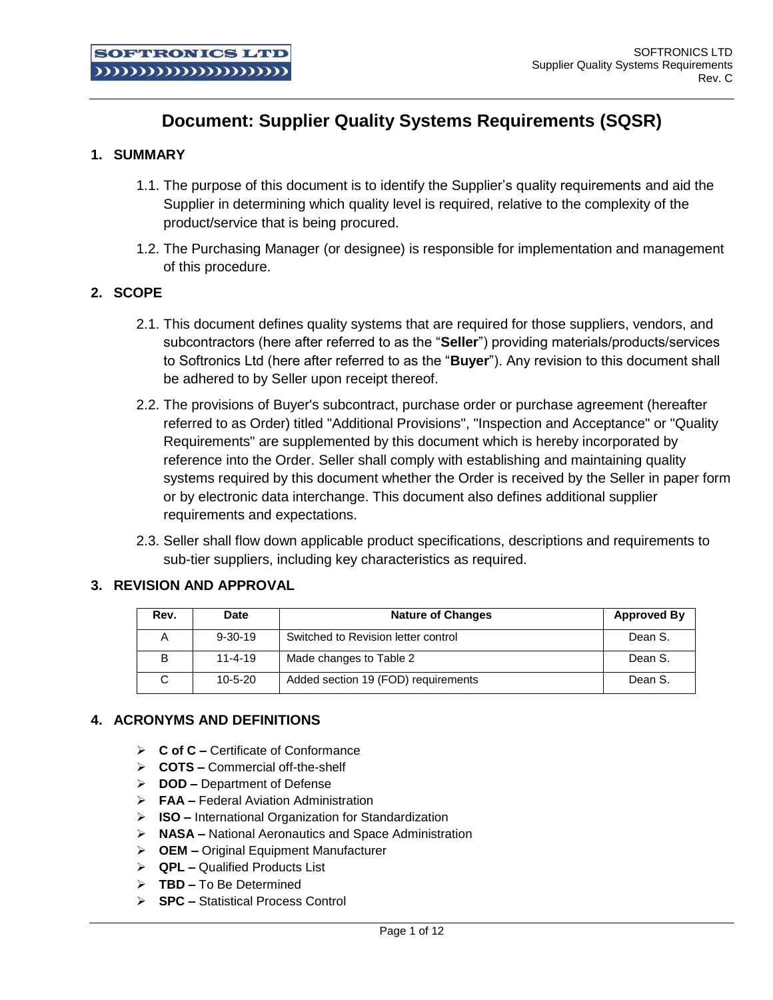# **Document: Supplier Quality Systems Requirements (SQSR)**

# **1. SUMMARY**

- 1.1. The purpose of this document is to identify the Supplier's quality requirements and aid the Supplier in determining which quality level is required, relative to the complexity of the product/service that is being procured.
- 1.2. The Purchasing Manager (or designee) is responsible for implementation and management of this procedure.

#### **2. SCOPE**

- 2.1. This document defines quality systems that are required for those suppliers, vendors, and subcontractors (here after referred to as the "**Seller**") providing materials/products/services to Softronics Ltd (here after referred to as the "**Buyer**"). Any revision to this document shall be adhered to by Seller upon receipt thereof.
- 2.2. The provisions of Buyer's subcontract, purchase order or purchase agreement (hereafter referred to as Order) titled "Additional Provisions", "Inspection and Acceptance" or "Quality Requirements" are supplemented by this document which is hereby incorporated by reference into the Order. Seller shall comply with establishing and maintaining quality systems required by this document whether the Order is received by the Seller in paper form or by electronic data interchange. This document also defines additional supplier requirements and expectations.
- 2.3. Seller shall flow down applicable product specifications, descriptions and requirements to sub-tier suppliers, including key characteristics as required.

#### **3. REVISION AND APPROVAL**

| Rev. | <b>Date</b>   | <b>Nature of Changes</b>            | <b>Approved By</b> |
|------|---------------|-------------------------------------|--------------------|
| А    | $9 - 30 - 19$ | Switched to Revision letter control | Dean S.            |
| B    | $11 - 4 - 19$ | Made changes to Table 2             | Dean S.            |
|      | $10 - 5 - 20$ | Added section 19 (FOD) requirements | Dean S.            |

#### **4. ACRONYMS AND DEFINITIONS**

- **C of C –** Certificate of Conformance
- **COTS –** Commercial off-the-shelf
- **DOD –** Department of Defense
- **FAA –** Federal Aviation Administration
- **ISO –** International Organization for Standardization
- **NASA –** National Aeronautics and Space Administration
- **OEM –** Original Equipment Manufacturer
- **QPL –** Qualified Products List
- **TBD –** To Be Determined
- **SPC –** Statistical Process Control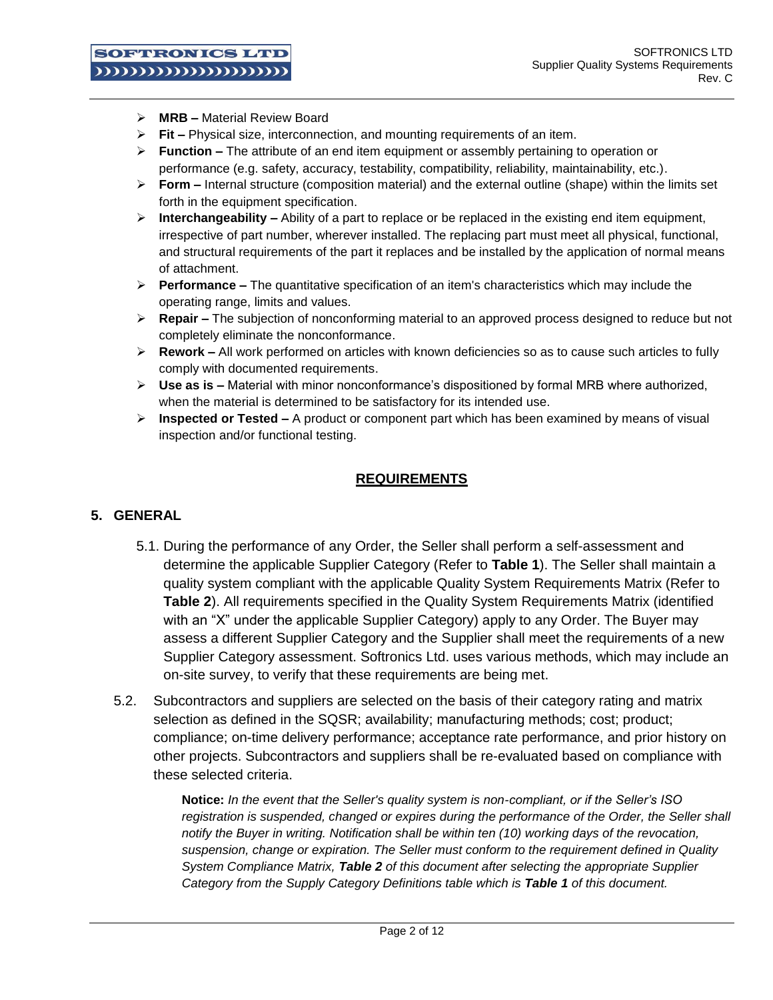- **MRB –** Material Review Board
- **Fit –** Physical size, interconnection, and mounting requirements of an item.
- **Function –** The attribute of an end item equipment or assembly pertaining to operation or performance (e.g. safety, accuracy, testability, compatibility, reliability, maintainability, etc.).
- **Form –** Internal structure (composition material) and the external outline (shape) within the limits set forth in the equipment specification.
- $\triangleright$  **Interchangeability** Ability of a part to replace or be replaced in the existing end item equipment, irrespective of part number, wherever installed. The replacing part must meet all physical, functional, and structural requirements of the part it replaces and be installed by the application of normal means of attachment.
- **Performance –** The quantitative specification of an item's characteristics which may include the operating range, limits and values.
- **Repair –** The subjection of nonconforming material to an approved process designed to reduce but not completely eliminate the nonconformance.
- **Rework –** All work performed on articles with known deficiencies so as to cause such articles to fully comply with documented requirements.
- **Use as is –** Material with minor nonconformance's dispositioned by formal MRB where authorized, when the material is determined to be satisfactory for its intended use.
- **Inspected or Tested –** A product or component part which has been examined by means of visual inspection and/or functional testing.

# **REQUIREMENTS**

#### **5. GENERAL**

- 5.1. During the performance of any Order, the Seller shall perform a self-assessment and determine the applicable Supplier Category (Refer to **Table 1**). The Seller shall maintain a quality system compliant with the applicable Quality System Requirements Matrix (Refer to **Table 2**). All requirements specified in the Quality System Requirements Matrix (identified with an "X" under the applicable Supplier Category) apply to any Order. The Buyer may assess a different Supplier Category and the Supplier shall meet the requirements of a new Supplier Category assessment. Softronics Ltd. uses various methods, which may include an on-site survey, to verify that these requirements are being met.
- 5.2. Subcontractors and suppliers are selected on the basis of their category rating and matrix selection as defined in the SQSR; availability; manufacturing methods; cost; product; compliance; on-time delivery performance; acceptance rate performance, and prior history on other projects. Subcontractors and suppliers shall be re-evaluated based on compliance with these selected criteria.

**Notice:** *In the event that the Seller's quality system is non-compliant, or if the Seller's ISO registration is suspended, changed or expires during the performance of the Order, the Seller shall notify the Buyer in writing. Notification shall be within ten (10) working days of the revocation, suspension, change or expiration. The Seller must conform to the requirement defined in Quality System Compliance Matrix, Table 2 of this document after selecting the appropriate Supplier Category from the Supply Category Definitions table which is Table 1 of this document.*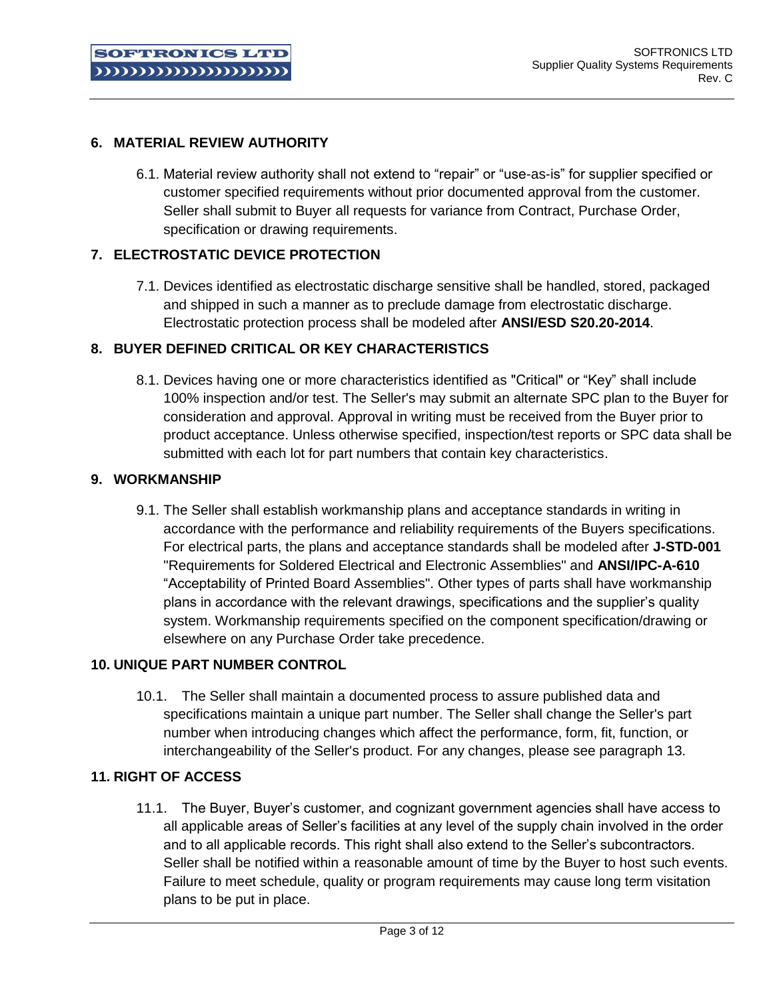# **6. MATERIAL REVIEW AUTHORITY**

6.1. Material review authority shall not extend to "repair" or "use-as-is" for supplier specified or customer specified requirements without prior documented approval from the customer. Seller shall submit to Buyer all requests for variance from Contract, Purchase Order, specification or drawing requirements.

# **7. ELECTROSTATIC DEVICE PROTECTION**

7.1. Devices identified as electrostatic discharge sensitive shall be handled, stored, packaged and shipped in such a manner as to preclude damage from electrostatic discharge. Electrostatic protection process shall be modeled after **ANSI/ESD S20.20-2014**.

# **8. BUYER DEFINED CRITICAL OR KEY CHARACTERISTICS**

8.1. Devices having one or more characteristics identified as "Critical" or "Key" shall include 100% inspection and/or test. The Seller's may submit an alternate SPC plan to the Buyer for consideration and approval. Approval in writing must be received from the Buyer prior to product acceptance. Unless otherwise specified, inspection/test reports or SPC data shall be submitted with each lot for part numbers that contain key characteristics.

# **9. WORKMANSHIP**

9.1. The Seller shall establish workmanship plans and acceptance standards in writing in accordance with the performance and reliability requirements of the Buyers specifications. For electrical parts, the plans and acceptance standards shall be modeled after **J-STD-001** "Requirements for Soldered Electrical and Electronic Assemblies" and **ANSI/IPC-A-610** "Acceptability of Printed Board Assemblies". Other types of parts shall have workmanship plans in accordance with the relevant drawings, specifications and the supplier's quality system. Workmanship requirements specified on the component specification/drawing or elsewhere on any Purchase Order take precedence.

# **10. UNIQUE PART NUMBER CONTROL**

10.1. The Seller shall maintain a documented process to assure published data and specifications maintain a unique part number. The Seller shall change the Seller's part number when introducing changes which affect the performance, form, fit, function, or interchangeability of the Seller's product. For any changes, please see paragraph 13.

# **11. RIGHT OF ACCESS**

11.1. The Buyer, Buyer's customer, and cognizant government agencies shall have access to all applicable areas of Seller's facilities at any level of the supply chain involved in the order and to all applicable records. This right shall also extend to the Seller's subcontractors. Seller shall be notified within a reasonable amount of time by the Buyer to host such events. Failure to meet schedule, quality or program requirements may cause long term visitation plans to be put in place.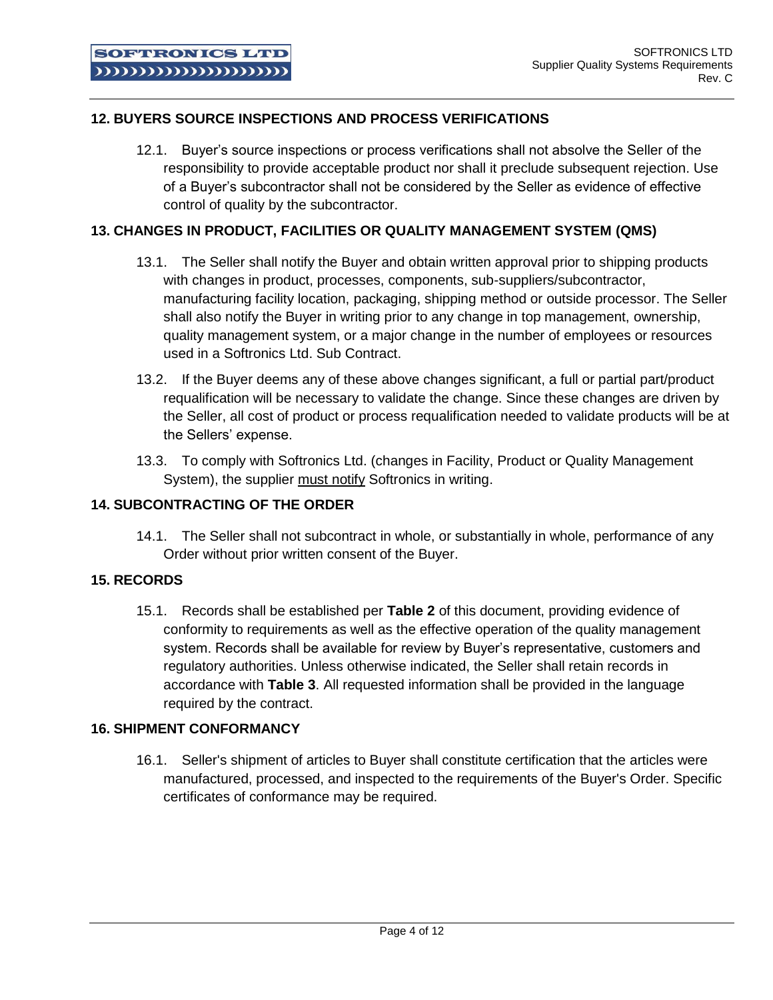# **12. BUYERS SOURCE INSPECTIONS AND PROCESS VERIFICATIONS**

12.1. Buyer's source inspections or process verifications shall not absolve the Seller of the responsibility to provide acceptable product nor shall it preclude subsequent rejection. Use of a Buyer's subcontractor shall not be considered by the Seller as evidence of effective control of quality by the subcontractor.

#### **13. CHANGES IN PRODUCT, FACILITIES OR QUALITY MANAGEMENT SYSTEM (QMS)**

- 13.1. The Seller shall notify the Buyer and obtain written approval prior to shipping products with changes in product, processes, components, sub-suppliers/subcontractor, manufacturing facility location, packaging, shipping method or outside processor. The Seller shall also notify the Buyer in writing prior to any change in top management, ownership, quality management system, or a major change in the number of employees or resources used in a Softronics Ltd. Sub Contract.
- 13.2. If the Buyer deems any of these above changes significant, a full or partial part/product requalification will be necessary to validate the change. Since these changes are driven by the Seller, all cost of product or process requalification needed to validate products will be at the Sellers' expense.
- 13.3. To comply with Softronics Ltd. (changes in Facility, Product or Quality Management System), the supplier must notify Softronics in writing.

#### **14. SUBCONTRACTING OF THE ORDER**

14.1. The Seller shall not subcontract in whole, or substantially in whole, performance of any Order without prior written consent of the Buyer.

#### **15. RECORDS**

15.1. Records shall be established per **Table 2** of this document, providing evidence of conformity to requirements as well as the effective operation of the quality management system. Records shall be available for review by Buyer's representative, customers and regulatory authorities. Unless otherwise indicated, the Seller shall retain records in accordance with **Table 3**. All requested information shall be provided in the language required by the contract.

# **16. SHIPMENT CONFORMANCY**

16.1. Seller's shipment of articles to Buyer shall constitute certification that the articles were manufactured, processed, and inspected to the requirements of the Buyer's Order. Specific certificates of conformance may be required.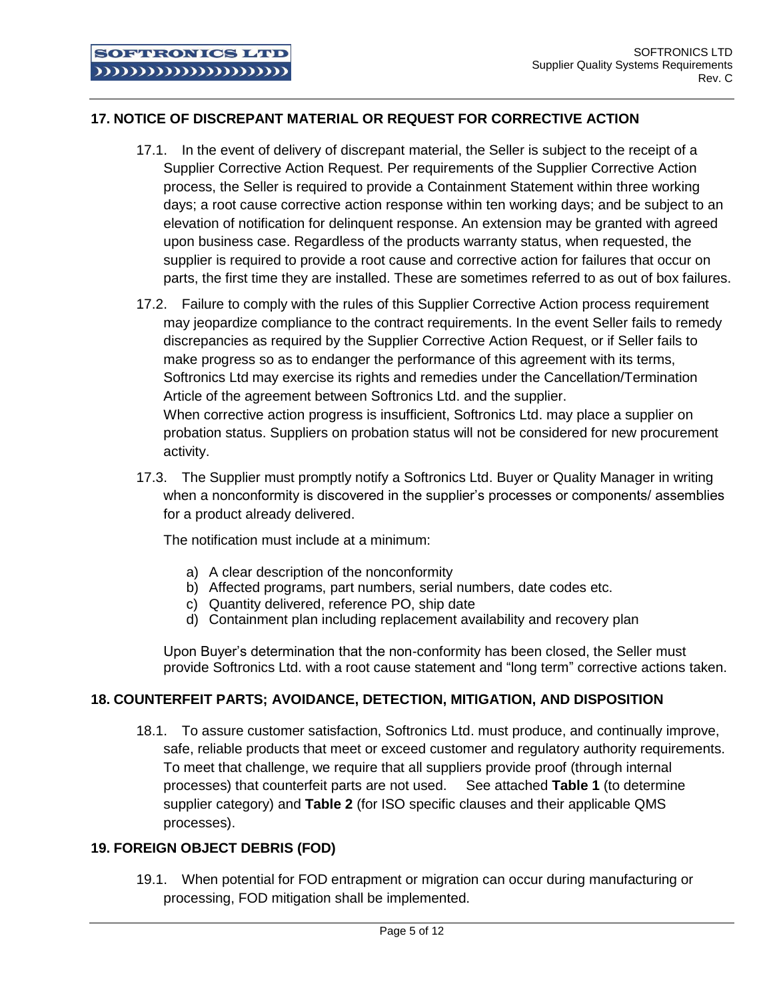# **17. NOTICE OF DISCREPANT MATERIAL OR REQUEST FOR CORRECTIVE ACTION**

- 17.1. In the event of delivery of discrepant material, the Seller is subject to the receipt of a Supplier Corrective Action Request. Per requirements of the Supplier Corrective Action process, the Seller is required to provide a Containment Statement within three working days; a root cause corrective action response within ten working days; and be subject to an elevation of notification for delinquent response. An extension may be granted with agreed upon business case. Regardless of the products warranty status, when requested, the supplier is required to provide a root cause and corrective action for failures that occur on parts, the first time they are installed. These are sometimes referred to as out of box failures.
- 17.2. Failure to comply with the rules of this Supplier Corrective Action process requirement may jeopardize compliance to the contract requirements. In the event Seller fails to remedy discrepancies as required by the Supplier Corrective Action Request, or if Seller fails to make progress so as to endanger the performance of this agreement with its terms, Softronics Ltd may exercise its rights and remedies under the Cancellation/Termination Article of the agreement between Softronics Ltd. and the supplier. When corrective action progress is insufficient, Softronics Ltd. may place a supplier on probation status. Suppliers on probation status will not be considered for new procurement activity.
- 17.3. The Supplier must promptly notify a Softronics Ltd. Buyer or Quality Manager in writing when a nonconformity is discovered in the supplier's processes or components/ assemblies for a product already delivered.

The notification must include at a minimum:

- a) A clear description of the nonconformity
- b) Affected programs, part numbers, serial numbers, date codes etc.
- c) Quantity delivered, reference PO, ship date
- d) Containment plan including replacement availability and recovery plan

Upon Buyer's determination that the non-conformity has been closed, the Seller must provide Softronics Ltd. with a root cause statement and "long term" corrective actions taken.

#### **18. COUNTERFEIT PARTS; AVOIDANCE, DETECTION, MITIGATION, AND DISPOSITION**

18.1. To assure customer satisfaction, Softronics Ltd. must produce, and continually improve, safe, reliable products that meet or exceed customer and regulatory authority requirements. To meet that challenge, we require that all suppliers provide proof (through internal processes) that counterfeit parts are not used. See attached **Table 1** (to determine supplier category) and **Table 2** (for ISO specific clauses and their applicable QMS processes).

#### **19. FOREIGN OBJECT DEBRIS (FOD)**

19.1. When potential for FOD entrapment or migration can occur during manufacturing or processing, FOD mitigation shall be implemented.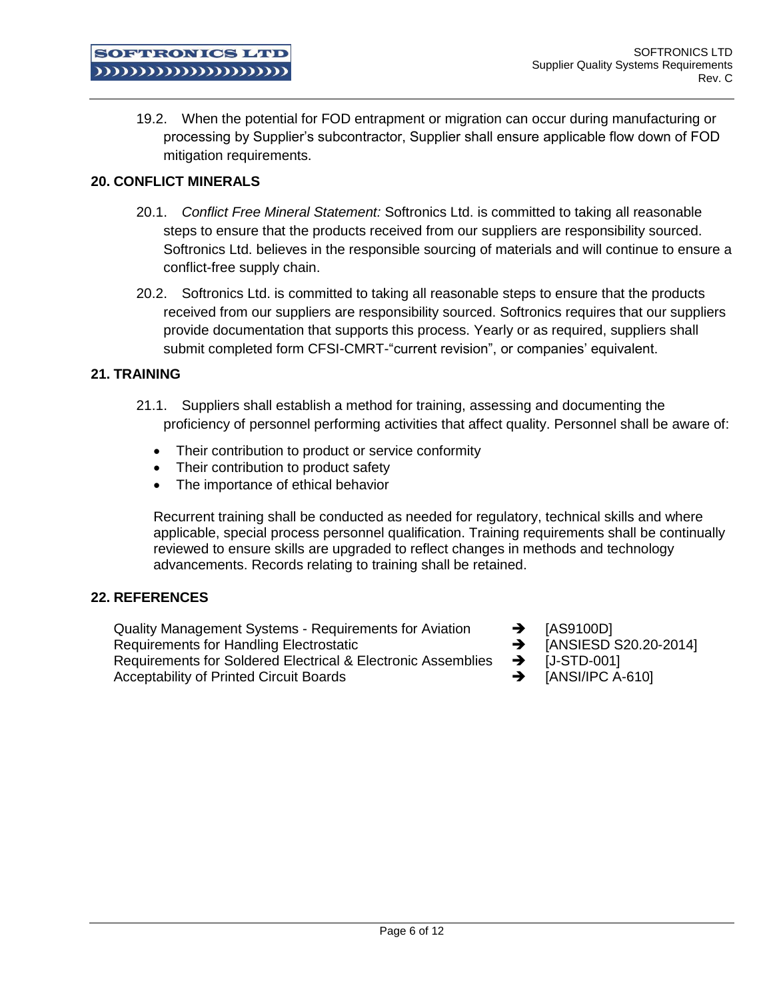19.2. When the potential for FOD entrapment or migration can occur during manufacturing or processing by Supplier's subcontractor, Supplier shall ensure applicable flow down of FOD mitigation requirements.

#### **20. CONFLICT MINERALS**

**SOFTRONICS LTD** mummummu

- 20.1. *Conflict Free Mineral Statement:* Softronics Ltd. is committed to taking all reasonable steps to ensure that the products received from our suppliers are responsibility sourced. Softronics Ltd. believes in the responsible sourcing of materials and will continue to ensure a conflict-free supply chain.
- 20.2. Softronics Ltd. is committed to taking all reasonable steps to ensure that the products received from our suppliers are responsibility sourced. Softronics requires that our suppliers provide documentation that supports this process. Yearly or as required, suppliers shall submit completed form CFSI-CMRT-"current revision", or companies' equivalent.

# **21. TRAINING**

- 21.1. Suppliers shall establish a method for training, assessing and documenting the proficiency of personnel performing activities that affect quality. Personnel shall be aware of:
	- Their contribution to product or service conformity
	- Their contribution to product safety
	- The importance of ethical behavior

Recurrent training shall be conducted as needed for regulatory, technical skills and where applicable, special process personnel qualification. Training requirements shall be continually reviewed to ensure skills are upgraded to reflect changes in methods and technology advancements. Records relating to training shall be retained.

#### **22. REFERENCES**

Quality Management Systems - Requirements for Aviation  $\rightarrow$  [AS9100D] Requirements for Handling Electrostatic **Burner Contract 10 ANSIESD S20.20-2014**] Requirements for Soldered Electrical & Electronic Assemblies  $\rightarrow$  [J-STD-001] Acceptability of Printed Circuit Boards **1998 [ANSI/IPC A-610]** 

- 
- 
- 
-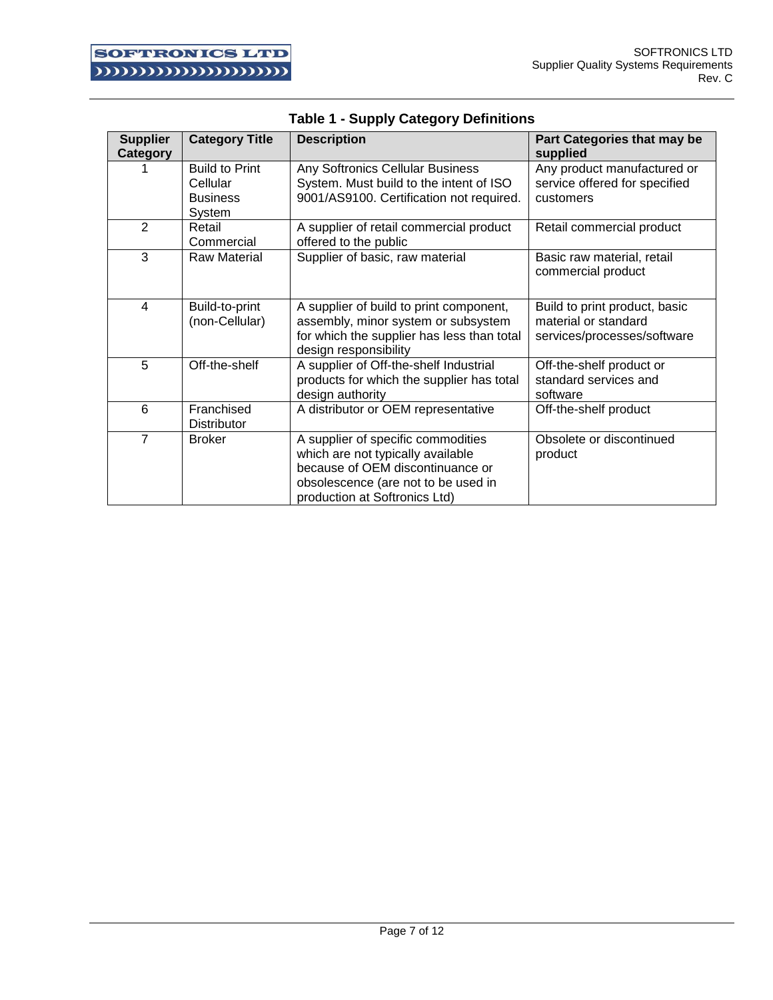| <b>Supplier</b><br>Category | <b>Category Title</b>                                          | <b>Description</b>                                                                                                                                                                  | Part Categories that may be<br>supplied                                              |
|-----------------------------|----------------------------------------------------------------|-------------------------------------------------------------------------------------------------------------------------------------------------------------------------------------|--------------------------------------------------------------------------------------|
|                             | <b>Build to Print</b><br>Cellular<br><b>Business</b><br>System | Any Softronics Cellular Business<br>System. Must build to the intent of ISO<br>9001/AS9100. Certification not required.                                                             | Any product manufactured or<br>service offered for specified<br>customers            |
| $\mathbf{2}$                | Retail<br>Commercial                                           | A supplier of retail commercial product<br>offered to the public                                                                                                                    | Retail commercial product                                                            |
| 3                           | <b>Raw Material</b>                                            | Supplier of basic, raw material                                                                                                                                                     | Basic raw material, retail<br>commercial product                                     |
| $\overline{4}$              | Build-to-print<br>(non-Cellular)                               | A supplier of build to print component,<br>assembly, minor system or subsystem<br>for which the supplier has less than total<br>design responsibility                               | Build to print product, basic<br>material or standard<br>services/processes/software |
| 5                           | Off-the-shelf                                                  | A supplier of Off-the-shelf Industrial<br>products for which the supplier has total<br>design authority                                                                             | Off-the-shelf product or<br>standard services and<br>software                        |
| 6                           | Franchised<br><b>Distributor</b>                               | A distributor or OEM representative                                                                                                                                                 | Off-the-shelf product                                                                |
| $\overline{7}$              | <b>Broker</b>                                                  | A supplier of specific commodities<br>which are not typically available<br>because of OEM discontinuance or<br>obsolescence (are not to be used in<br>production at Softronics Ltd) | Obsolete or discontinued<br>product                                                  |

|  | <b>Table 1 - Supply Category Definitions</b> |
|--|----------------------------------------------|
|  |                                              |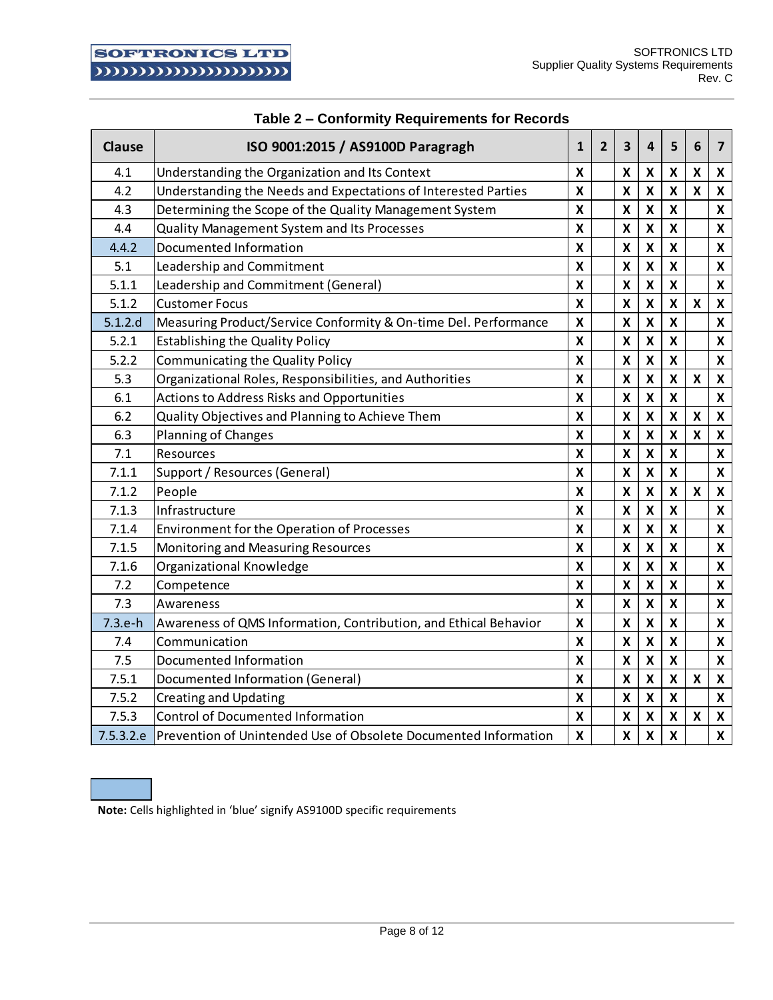| <b>Clause</b> | ISO 9001:2015 / AS9100D Paragragh                                | $\mathbf{1}$              | $\overline{2}$ | 3                         | 4                         | 5                         | 6                         | $\overline{\mathbf{z}}$   |
|---------------|------------------------------------------------------------------|---------------------------|----------------|---------------------------|---------------------------|---------------------------|---------------------------|---------------------------|
| 4.1           | Understanding the Organization and Its Context                   | X                         |                | X                         | X                         | X                         | $\pmb{\mathsf{X}}$        | X                         |
| 4.2           | Understanding the Needs and Expectations of Interested Parties   | $\boldsymbol{\mathsf{X}}$ |                | X                         | X                         | $\pmb{\mathsf{X}}$        | X                         | X                         |
| 4.3           | Determining the Scope of the Quality Management System           | X                         |                | $\pmb{\mathsf{X}}$        | $\boldsymbol{\mathsf{X}}$ | $\pmb{\mathsf{X}}$        |                           | X                         |
| 4.4           | <b>Quality Management System and Its Processes</b>               | X                         |                | $\pmb{\mathsf{X}}$        | $\boldsymbol{\mathsf{X}}$ | $\mathsf{X}$              |                           | X                         |
| 4.4.2         | Documented Information                                           | $\boldsymbol{\mathsf{X}}$ |                | $\pmb{\mathsf{X}}$        | $\boldsymbol{\mathsf{x}}$ | X                         |                           | X                         |
| 5.1           | Leadership and Commitment                                        | X                         |                | $\pmb{\mathsf{X}}$        | $\pmb{\mathsf{X}}$        | $\pmb{\mathsf{X}}$        |                           | $\pmb{\mathsf{X}}$        |
| 5.1.1         | Leadership and Commitment (General)                              | $\boldsymbol{\mathsf{X}}$ |                | $\pmb{\mathsf{X}}$        | $\pmb{\mathsf{X}}$        | $\pmb{\mathsf{X}}$        |                           | X                         |
| 5.1.2         | <b>Customer Focus</b>                                            | X                         |                | $\pmb{\mathsf{X}}$        | $\pmb{\mathsf{X}}$        | $\boldsymbol{\mathsf{x}}$ | X                         | X                         |
| 5.1.2.d       | Measuring Product/Service Conformity & On-time Del. Performance  | X                         |                | X                         | X                         | $\boldsymbol{\mathsf{x}}$ |                           | X                         |
| 5.2.1         | <b>Establishing the Quality Policy</b>                           | X                         |                | X                         | $\boldsymbol{\mathsf{X}}$ | X                         |                           | X                         |
| 5.2.2         | Communicating the Quality Policy                                 | $\boldsymbol{\mathsf{X}}$ |                | X                         | $\boldsymbol{\mathsf{x}}$ | $\pmb{\mathsf{X}}$        |                           | X                         |
| 5.3           | Organizational Roles, Responsibilities, and Authorities          | X                         |                | X                         | X                         | X                         | X                         | X                         |
| 6.1           | <b>Actions to Address Risks and Opportunities</b>                | X                         |                | X                         | $\pmb{\mathsf{X}}$        | $\pmb{\mathsf{X}}$        |                           | X                         |
| 6.2           | Quality Objectives and Planning to Achieve Them                  | X                         |                | X                         | $\mathsf{x}$              | $\mathsf{X}$              | $\pmb{\mathsf{X}}$        | X                         |
| 6.3           | Planning of Changes                                              | X                         |                | X                         | $\boldsymbol{\mathsf{X}}$ | $\pmb{\mathsf{X}}$        | $\pmb{\mathsf{X}}$        | $\pmb{\mathsf{X}}$        |
| 7.1           | Resources                                                        | X                         |                | $\pmb{\mathsf{X}}$        | $\pmb{\mathsf{X}}$        | $\pmb{\mathsf{X}}$        |                           | X                         |
| 7.1.1         | Support / Resources (General)                                    | $\boldsymbol{\mathsf{X}}$ |                | X                         | $\pmb{\mathsf{X}}$        | $\pmb{\mathsf{X}}$        |                           | X                         |
| 7.1.2         | People                                                           | $\boldsymbol{\mathsf{X}}$ |                | X                         | $\pmb{\mathsf{X}}$        | $\pmb{\mathsf{X}}$        | $\pmb{\mathsf{X}}$        | X                         |
| 7.1.3         | Infrastructure                                                   | $\boldsymbol{\mathsf{X}}$ |                | $\pmb{\mathsf{X}}$        | $\boldsymbol{\mathsf{x}}$ | $\pmb{\mathsf{X}}$        |                           | $\pmb{\mathsf{X}}$        |
| 7.1.4         | <b>Environment for the Operation of Processes</b>                | X                         |                | $\pmb{\mathsf{X}}$        | $\pmb{\mathsf{X}}$        | $\pmb{\mathsf{X}}$        |                           | $\pmb{\mathsf{X}}$        |
| 7.1.5         | Monitoring and Measuring Resources                               | X                         |                | $\pmb{\mathsf{X}}$        | $\mathsf{\overline{X}}$   | $\mathsf{\overline{X}}$   |                           | X                         |
| 7.1.6         | Organizational Knowledge                                         | X                         |                | $\pmb{\mathsf{X}}$        | $\pmb{\times}$            | X                         |                           | X                         |
| 7.2           | Competence                                                       | X                         |                | $\pmb{\mathsf{X}}$        | $\boldsymbol{\mathsf{x}}$ | $\pmb{\mathsf{X}}$        |                           | $\pmb{\mathsf{X}}$        |
| 7.3           | Awareness                                                        | X                         |                | X                         | $\boldsymbol{\mathsf{x}}$ | $\boldsymbol{\mathsf{x}}$ |                           | X                         |
| $7.3.e-h$     | Awareness of QMS Information, Contribution, and Ethical Behavior | X                         |                | X                         | $\boldsymbol{\mathsf{x}}$ | $\boldsymbol{\mathsf{x}}$ |                           | X                         |
| 7.4           | Communication                                                    | X                         |                | X                         | X                         | $\boldsymbol{\mathsf{x}}$ |                           | X                         |
| 7.5           | Documented Information                                           | X                         |                | X                         | $\boldsymbol{\mathsf{X}}$ | $\boldsymbol{\mathsf{x}}$ |                           | X                         |
| 7.5.1         | Documented Information (General)                                 | X                         |                | $\pmb{\mathsf{X}}$        | $\boldsymbol{\mathsf{x}}$ | $\boldsymbol{\mathsf{x}}$ | $\boldsymbol{\mathsf{x}}$ | X                         |
| 7.5.2         | <b>Creating and Updating</b>                                     | $\boldsymbol{\mathsf{X}}$ |                | X                         | X                         | X                         |                           | X                         |
| 7.5.3         | <b>Control of Documented Information</b>                         | X                         |                | X                         | $\boldsymbol{\mathsf{x}}$ | $\pmb{\mathsf{X}}$        | $\boldsymbol{\mathsf{x}}$ | $\pmb{\mathsf{X}}$        |
| 7.5.3.2.e     | Prevention of Unintended Use of Obsolete Documented Information  | $\pmb{\mathsf{X}}$        |                | $\boldsymbol{\mathsf{X}}$ | $\boldsymbol{\mathsf{X}}$ | $\mathsf{X}$              |                           | $\boldsymbol{\mathsf{x}}$ |

# **Table 2 – Conformity Requirements for Records**

**Note:** Cells highlighted in 'blue' signify AS9100D specific requirements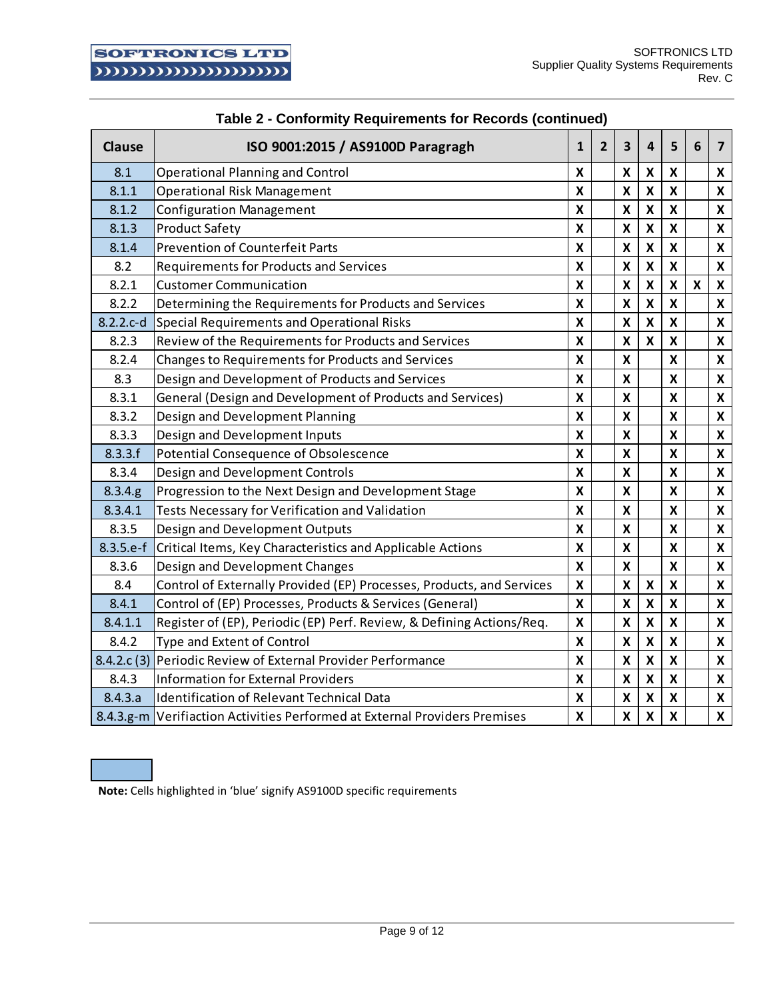| Clause      | ISO 9001:2015 / AS9100D Paragragh                                          | $\mathbf{1}$            | $\overline{2}$ | $\overline{\mathbf{3}}$   | 4                         | 5                         | 6                  | $\overline{\mathbf{z}}$   |
|-------------|----------------------------------------------------------------------------|-------------------------|----------------|---------------------------|---------------------------|---------------------------|--------------------|---------------------------|
| 8.1         | <b>Operational Planning and Control</b>                                    | X                       |                | X                         | X                         | X                         |                    | X                         |
| 8.1.1       | <b>Operational Risk Management</b>                                         | X                       |                | X                         | $\boldsymbol{\mathsf{x}}$ | X                         |                    | X                         |
| 8.1.2       | <b>Configuration Management</b>                                            | Χ                       |                | X                         | X                         | X                         |                    | X                         |
| 8.1.3       | <b>Product Safety</b>                                                      | X                       |                | $\pmb{\mathsf{X}}$        | $\pmb{\mathsf{X}}$        | X                         |                    | X                         |
| 8.1.4       | <b>Prevention of Counterfeit Parts</b>                                     | $\overline{\mathbf{x}}$ |                | $\mathsf{x}$              | $\mathsf{x}$              | $\mathsf{x}$              |                    | X                         |
| 8.2         | <b>Requirements for Products and Services</b>                              | X                       |                | $\pmb{\mathsf{X}}$        | $\boldsymbol{\mathsf{x}}$ | X                         |                    | X                         |
| 8.2.1       | <b>Customer Communication</b>                                              | X                       |                | $\pmb{\mathsf{X}}$        | $\mathsf{x}$              | $\pmb{\mathsf{X}}$        | $\pmb{\mathsf{X}}$ | $\boldsymbol{\mathsf{x}}$ |
| 8.2.2       | Determining the Requirements for Products and Services                     | X                       |                | $\pmb{\mathsf{X}}$        | $\boldsymbol{\mathsf{x}}$ | $\pmb{\mathsf{X}}$        |                    | X                         |
| $8.2.2.c-d$ | Special Requirements and Operational Risks                                 | X                       |                | $\pmb{\mathsf{X}}$        | $\boldsymbol{\mathsf{x}}$ | $\boldsymbol{\mathsf{x}}$ |                    | X                         |
| 8.2.3       | Review of the Requirements for Products and Services                       | X                       |                | X                         | $\boldsymbol{x}$          | $\boldsymbol{\mathsf{x}}$ |                    | X                         |
| 8.2.4       | Changes to Requirements for Products and Services                          | X                       |                | X                         |                           | X                         |                    | X                         |
| 8.3         | Design and Development of Products and Services                            | X                       |                | X                         |                           | X                         |                    | X                         |
| 8.3.1       | General (Design and Development of Products and Services)                  | X                       |                | X                         |                           | X                         |                    | X                         |
| 8.3.2       | Design and Development Planning                                            | X                       |                | $\pmb{\mathsf{X}}$        |                           | X                         |                    | X                         |
| 8.3.3       | Design and Development Inputs                                              | X                       |                | $\pmb{\mathsf{X}}$        |                           | X                         |                    | X                         |
| 8.3.3.f     | Potential Consequence of Obsolescence                                      | X                       |                | X                         |                           | $\boldsymbol{\mathsf{x}}$ |                    | X                         |
| 8.3.4       | Design and Development Controls                                            | X                       |                | X                         |                           | X                         |                    | X                         |
| 8.3.4.g     | Progression to the Next Design and Development Stage                       | X                       |                | X                         |                           | X                         |                    | X                         |
| 8.3.4.1     | Tests Necessary for Verification and Validation                            | X                       |                | X                         |                           | $\boldsymbol{\mathsf{x}}$ |                    | X                         |
| 8.3.5       | Design and Development Outputs                                             | X                       |                | X                         |                           | X                         |                    | X                         |
| $8.3.5.e-f$ | Critical Items, Key Characteristics and Applicable Actions                 | X                       |                | X                         |                           | X                         |                    | X                         |
| 8.3.6       | Design and Development Changes                                             | $\mathsf{\overline{X}}$ |                | $\boldsymbol{\mathsf{x}}$ |                           | X                         |                    | X                         |
| 8.4         | Control of Externally Provided (EP) Processes, Products, and Services      | X                       |                | X                         | X                         | X                         |                    | X                         |
| 8.4.1       | Control of (EP) Processes, Products & Services (General)                   | $\overline{\mathsf{x}}$ |                | $\boldsymbol{\mathsf{x}}$ | $\mathsf{x}$              | $\pmb{\mathsf{X}}$        |                    | X                         |
| 8.4.1.1     | Register of (EP), Periodic (EP) Perf. Review, & Defining Actions/Req.      | X                       |                | $\pmb{\mathsf{X}}$        | $\boldsymbol{\mathsf{x}}$ | $\boldsymbol{\mathsf{x}}$ |                    | X                         |
| 8.4.2       | Type and Extent of Control                                                 | X                       |                | $\pmb{\mathsf{X}}$        | $\boldsymbol{\mathsf{x}}$ | $\boldsymbol{\mathsf{x}}$ |                    | X                         |
| 8.4.2.c(3)  | Periodic Review of External Provider Performance                           | X                       |                | $\boldsymbol{\mathsf{x}}$ | $\mathsf{x}$              | $\boldsymbol{\mathsf{x}}$ |                    | X                         |
| 8.4.3       | <b>Information for External Providers</b>                                  | X                       |                | X                         | $\boldsymbol{\mathsf{x}}$ | X                         |                    | X                         |
| 8.4.3.a     | <b>Identification of Relevant Technical Data</b>                           | X                       |                | X                         | $\pmb{\mathsf{X}}$        | X                         |                    | $\boldsymbol{\mathsf{x}}$ |
|             | 8.4.3.g-m Verifiaction Activities Performed at External Providers Premises | X                       |                | $\pmb{\mathsf{X}}$        | $\mathsf{X}$              | $\pmb{\mathsf{X}}$        |                    | X                         |

# **Table 2 - Conformity Requirements for Records (continued)**

**Note:** Cells highlighted in 'blue' signify AS9100D specific requirements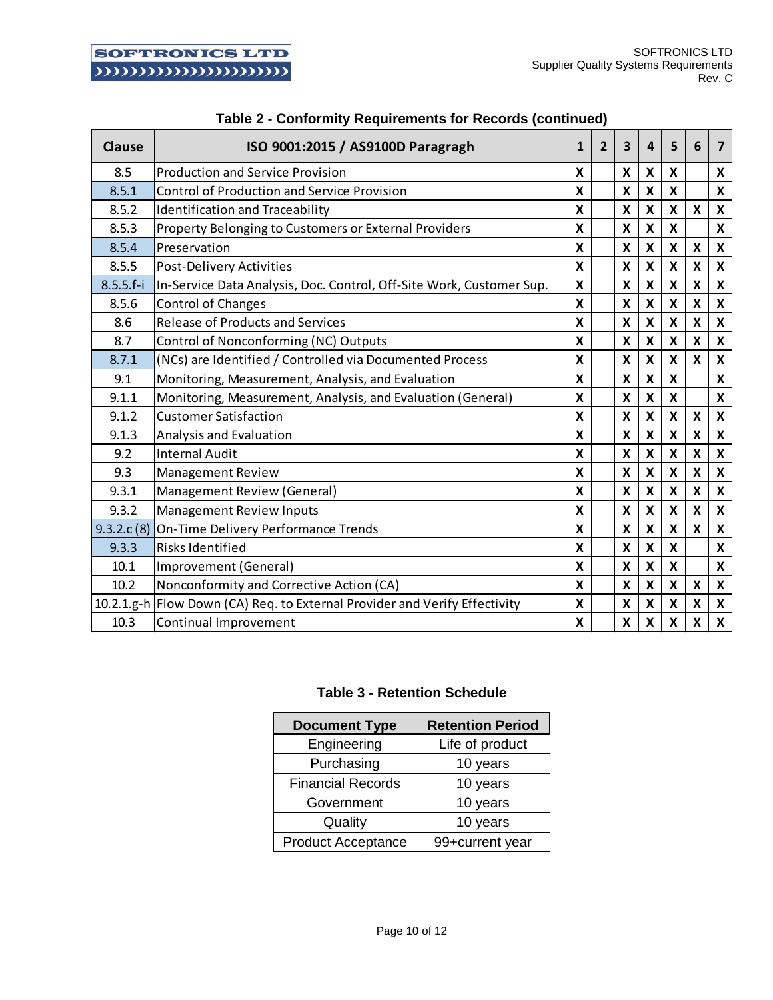| <b>Clause</b> | ISO 9001:2015 / AS9100D Paragragh                                          | $\mathbf{1}$ | $\overline{2}$ | 3                  | 4                         | 5                         | 6                         | $\overline{ }$            |
|---------------|----------------------------------------------------------------------------|--------------|----------------|--------------------|---------------------------|---------------------------|---------------------------|---------------------------|
| 8.5           | <b>Production and Service Provision</b>                                    |              |                |                    | X                         | X                         |                           | X                         |
| 8.5.1         | <b>Control of Production and Service Provision</b>                         | X            |                | X                  | X                         | X                         |                           | X                         |
| 8.5.2         | <b>Identification and Traceability</b>                                     | X            |                | X                  | $\boldsymbol{\mathsf{x}}$ | X                         | $\boldsymbol{\mathsf{x}}$ | X                         |
| 8.5.3         | Property Belonging to Customers or External Providers                      | X            |                | X                  | $\boldsymbol{\mathsf{x}}$ | X                         |                           | X                         |
| 8.5.4         | Preservation                                                               | $\mathbf x$  |                | X                  | X                         | X                         | $\boldsymbol{\mathsf{x}}$ | $\boldsymbol{\mathsf{x}}$ |
| 8.5.5         | Post-Delivery Activities                                                   | X            |                | $\pmb{\mathsf{X}}$ | $\boldsymbol{\mathsf{x}}$ | $\boldsymbol{\mathsf{x}}$ | $\pmb{\mathsf{X}}$        | X                         |
| $8.5.5.f-i$   | In-Service Data Analysis, Doc. Control, Off-Site Work, Customer Sup.       | X            |                | $\pmb{\mathsf{X}}$ | X                         | X                         | X                         | X                         |
| 8.5.6         | <b>Control of Changes</b>                                                  | X            |                | X                  | $\boldsymbol{\mathsf{x}}$ | $\boldsymbol{\mathsf{x}}$ | $\boldsymbol{\mathsf{x}}$ | $\pmb{\mathsf{X}}$        |
| 8.6           | <b>Release of Products and Services</b>                                    | X            |                | X                  | $\boldsymbol{\mathsf{X}}$ | X                         | $\boldsymbol{\mathsf{x}}$ | X                         |
| 8.7           | Control of Nonconforming (NC) Outputs                                      | X            |                | X                  | $\boldsymbol{\mathsf{x}}$ | $\boldsymbol{\mathsf{x}}$ | $\boldsymbol{\mathsf{x}}$ | X                         |
| 8.7.1         | (NCs) are Identified / Controlled via Documented Process                   |              |                | X                  | X                         | X                         | $\boldsymbol{\mathsf{x}}$ | X                         |
| 9.1           | Monitoring, Measurement, Analysis, and Evaluation                          | X            |                | X                  | X                         | X                         |                           | X                         |
| 9.1.1         | Monitoring, Measurement, Analysis, and Evaluation (General)                | X            |                | X                  | $\boldsymbol{\mathsf{x}}$ | $\boldsymbol{x}$          |                           | X                         |
| 9.1.2         | <b>Customer Satisfaction</b>                                               |              |                | X                  | $\boldsymbol{\mathsf{X}}$ | X                         | X                         | X                         |
| 9.1.3         | Analysis and Evaluation                                                    | X            |                | $\pmb{\mathsf{X}}$ | $\boldsymbol{\mathsf{x}}$ | $\boldsymbol{\mathsf{x}}$ | $\pmb{\mathsf{X}}$        | X                         |
| 9.2           | <b>Internal Audit</b>                                                      |              |                | X                  | $\boldsymbol{\mathsf{x}}$ | X                         | $\boldsymbol{\mathsf{x}}$ | $\pmb{\mathsf{X}}$        |
| 9.3           | Management Review                                                          | X            |                | X                  | $\boldsymbol{\mathsf{x}}$ | $\boldsymbol{\mathsf{x}}$ | $\boldsymbol{\mathsf{x}}$ | $\boldsymbol{\mathsf{x}}$ |
| 9.3.1         | Management Review (General)                                                | X            |                | X                  | $\boldsymbol{\mathsf{x}}$ | $\pmb{\mathsf{X}}$        | $\pmb{\mathsf{X}}$        | X                         |
| 9.3.2         | <b>Management Review Inputs</b>                                            | X            |                | X                  | $\boldsymbol{\mathsf{X}}$ | X                         | $\boldsymbol{\mathsf{x}}$ | $\boldsymbol{\mathsf{x}}$ |
| 9.3.2.c(8)    | On-Time Delivery Performance Trends                                        |              |                | X                  | X                         | X                         | $\boldsymbol{\mathsf{x}}$ | X                         |
| 9.3.3         | Risks Identified                                                           |              |                | X                  | $\boldsymbol{\mathsf{x}}$ | X                         |                           | X                         |
| 10.1          | Improvement (General)                                                      |              |                | X                  | X                         | X                         |                           | X                         |
| 10.2          | Nonconformity and Corrective Action (CA)                                   | X            |                | X                  | $\boldsymbol{\mathsf{x}}$ | $\boldsymbol{\mathsf{x}}$ | X                         | X                         |
|               | 10.2.1.g-h Flow Down (CA) Req. to External Provider and Verify Effectivity | X            |                | X                  | X                         | X                         | $\boldsymbol{\mathsf{x}}$ | X                         |
| 10.3          | Continual Improvement                                                      | X            |                | X                  | $\boldsymbol{\mathsf{x}}$ | X                         | X                         | $\pmb{\mathsf{X}}$        |

# **Table 2 - Conformity Requirements for Records (continued)**

# **Table 3 - Retention Schedule**

| <b>Document Type</b>      | <b>Retention Period</b> |
|---------------------------|-------------------------|
| Engineering               | Life of product         |
| Purchasing                | 10 years                |
| <b>Financial Records</b>  | 10 years                |
| Government                | 10 years                |
| Quality                   | 10 years                |
| <b>Product Acceptance</b> | 99+current year         |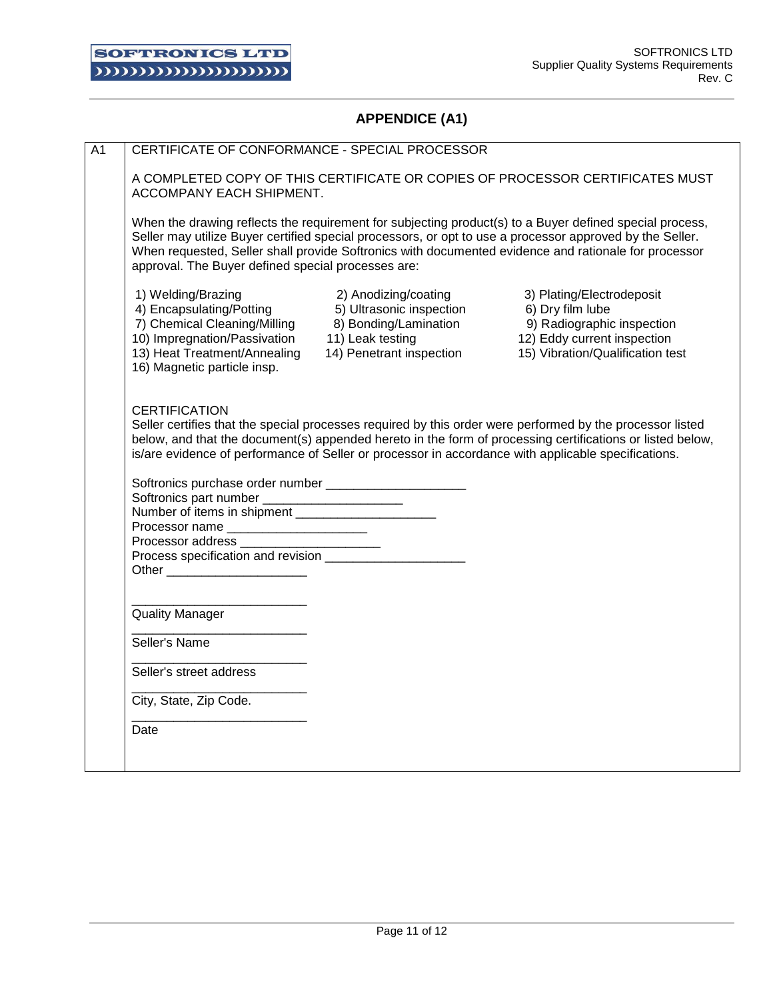# **APPENDICE (A1)**

| CERTIFICATE OF CONFORMANCE - SPECIAL PROCESSOR                                                                                                                                |                                                                                                                                                                                                                |                                                                                                                                                                                                                                                                                                                             |
|-------------------------------------------------------------------------------------------------------------------------------------------------------------------------------|----------------------------------------------------------------------------------------------------------------------------------------------------------------------------------------------------------------|-----------------------------------------------------------------------------------------------------------------------------------------------------------------------------------------------------------------------------------------------------------------------------------------------------------------------------|
| ACCOMPANY EACH SHIPMENT.                                                                                                                                                      |                                                                                                                                                                                                                | A COMPLETED COPY OF THIS CERTIFICATE OR COPIES OF PROCESSOR CERTIFICATES MUST                                                                                                                                                                                                                                               |
| approval. The Buyer defined special processes are:                                                                                                                            |                                                                                                                                                                                                                | When the drawing reflects the requirement for subjecting product(s) to a Buyer defined special process,<br>Seller may utilize Buyer certified special processors, or opt to use a processor approved by the Seller.<br>When requested, Seller shall provide Softronics with documented evidence and rationale for processor |
| 1) Welding/Brazing<br>4) Encapsulating/Potting<br>7) Chemical Cleaning/Milling<br>10) Impregnation/Passivation<br>13) Heat Treatment/Annealing<br>16) Magnetic particle insp. | 2) Anodizing/coating<br>5) Ultrasonic inspection<br>8) Bonding/Lamination<br>8) Bonding/Lamination<br>9) Radiographic<br>11) Leak testing<br>12) Eddy current<br>14) Penetrant inspection<br>15) Vibration/Qua | 3) Plating/Electrodeposit<br>9) Radiographic inspection<br>12) Eddy current inspection<br>15) Vibration/Qualification test                                                                                                                                                                                                  |
|                                                                                                                                                                               |                                                                                                                                                                                                                |                                                                                                                                                                                                                                                                                                                             |
| <b>CERTIFICATION</b>                                                                                                                                                          | Softronics purchase order number _______________________                                                                                                                                                       | is/are evidence of performance of Seller or processor in accordance with applicable specifications.                                                                                                                                                                                                                         |
| Softronics part number _______________________                                                                                                                                |                                                                                                                                                                                                                |                                                                                                                                                                                                                                                                                                                             |
| Other _________________________                                                                                                                                               | Processor name<br>Processor address<br>Process specification and revision                                                                                                                                      |                                                                                                                                                                                                                                                                                                                             |
| <b>Quality Manager</b>                                                                                                                                                        |                                                                                                                                                                                                                |                                                                                                                                                                                                                                                                                                                             |
| Seller's Name                                                                                                                                                                 |                                                                                                                                                                                                                |                                                                                                                                                                                                                                                                                                                             |
| Seller's street address                                                                                                                                                       |                                                                                                                                                                                                                |                                                                                                                                                                                                                                                                                                                             |
| City, State, Zip Code.                                                                                                                                                        |                                                                                                                                                                                                                | Seller certifies that the special processes required by this order were performed by the processor listed<br>below, and that the document(s) appended hereto in the form of processing certifications or listed below,                                                                                                      |